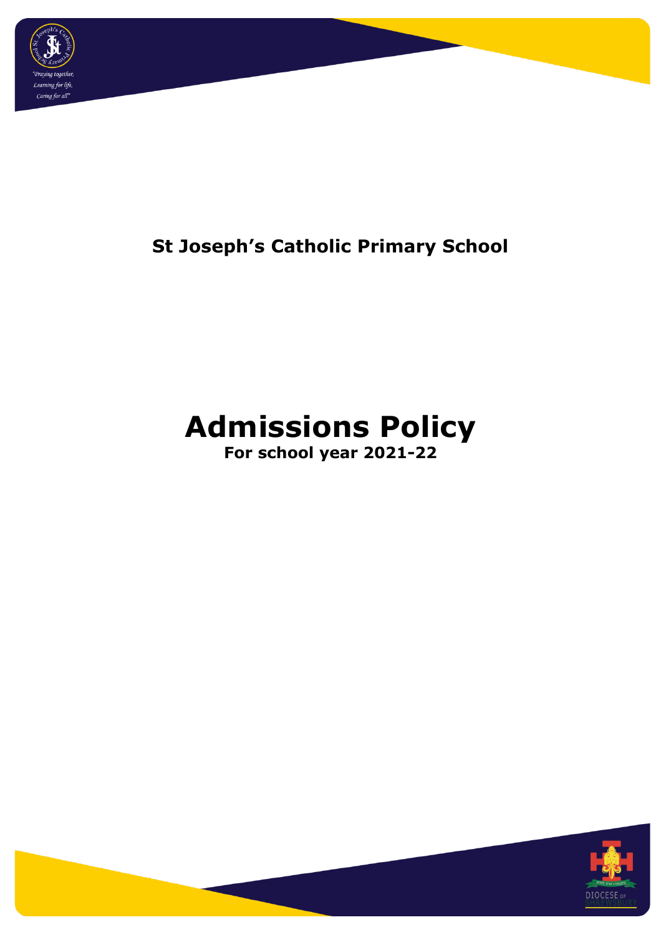

# **St Joseph's Catholic Primary School**

# **Admissions Policy**

**For school year 2021-22**

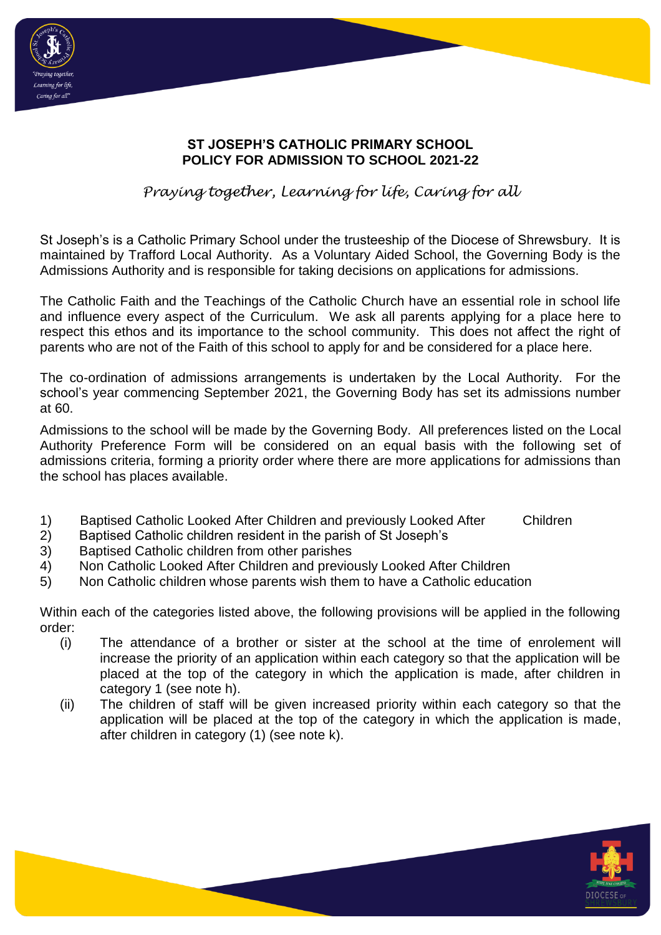

# **ST JOSEPH'S CATHOLIC PRIMARY SCHOOL POLICY FOR ADMISSION TO SCHOOL 2021-22**

# *Praying together, Learning for life, Caring for all*

St Joseph's is a Catholic Primary School under the trusteeship of the Diocese of Shrewsbury. It is maintained by Trafford Local Authority. As a Voluntary Aided School, the Governing Body is the Admissions Authority and is responsible for taking decisions on applications for admissions.

The Catholic Faith and the Teachings of the Catholic Church have an essential role in school life and influence every aspect of the Curriculum. We ask all parents applying for a place here to respect this ethos and its importance to the school community. This does not affect the right of parents who are not of the Faith of this school to apply for and be considered for a place here.

The co-ordination of admissions arrangements is undertaken by the Local Authority. For the school's year commencing September 2021, the Governing Body has set its admissions number at 60.

Admissions to the school will be made by the Governing Body. All preferences listed on the Local Authority Preference Form will be considered on an equal basis with the following set of admissions criteria, forming a priority order where there are more applications for admissions than the school has places available.

- 1) Baptised Catholic Looked After Children and previously Looked After Children
- 2) Baptised Catholic children resident in the parish of St Joseph's
- 3) Baptised Catholic children from other parishes
- 4) Non Catholic Looked After Children and previously Looked After Children
- 5) Non Catholic children whose parents wish them to have a Catholic education

Within each of the categories listed above, the following provisions will be applied in the following order:

- (i) The attendance of a brother or sister at the school at the time of enrolement will increase the priority of an application within each category so that the application will be placed at the top of the category in which the application is made, after children in category 1 (see note h).
- (ii) The children of staff will be given increased priority within each category so that the application will be placed at the top of the category in which the application is made, after children in category (1) (see note k).

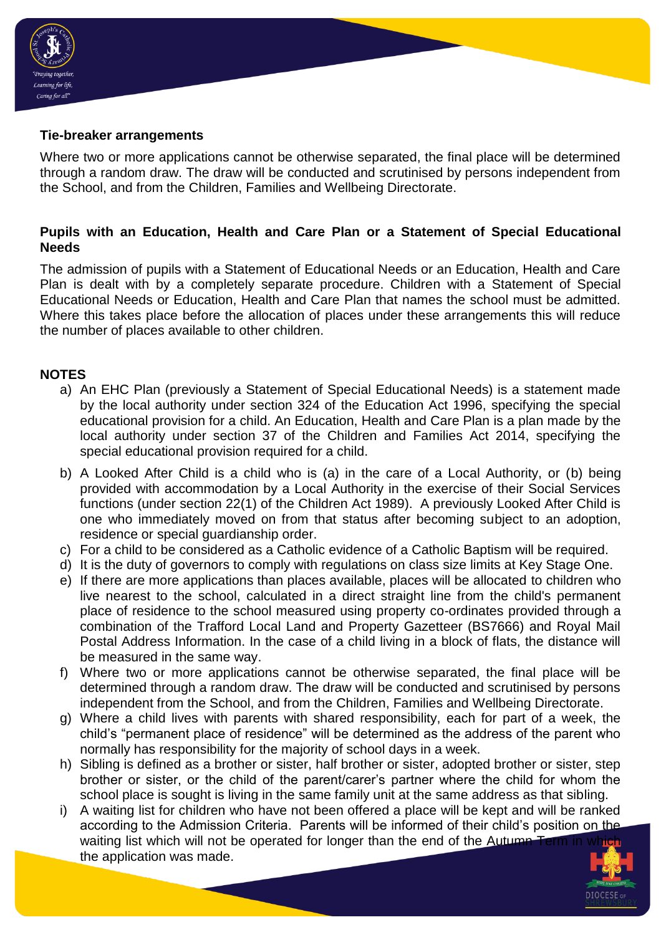

### **Tie-breaker arrangements**

Where two or more applications cannot be otherwise separated, the final place will be determined through a random draw. The draw will be conducted and scrutinised by persons independent from the School, and from the Children, Families and Wellbeing Directorate.

## **Pupils with an Education, Health and Care Plan or a Statement of Special Educational Needs**

The admission of pupils with a Statement of Educational Needs or an Education, Health and Care Plan is dealt with by a completely separate procedure. Children with a Statement of Special Educational Needs or Education, Health and Care Plan that names the school must be admitted. Where this takes place before the allocation of places under these arrangements this will reduce the number of places available to other children.

### **NOTES**

- a) An EHC Plan (previously a Statement of Special Educational Needs) is a statement made by the local authority under section 324 of the Education Act 1996, specifying the special educational provision for a child. An Education, Health and Care Plan is a plan made by the local authority under section 37 of the Children and Families Act 2014, specifying the special educational provision required for a child.
- b) A Looked After Child is a child who is (a) in the care of a Local Authority, or (b) being provided with accommodation by a Local Authority in the exercise of their Social Services functions (under section 22(1) of the Children Act 1989). A previously Looked After Child is one who immediately moved on from that status after becoming subject to an adoption, residence or special guardianship order.
- c) For a child to be considered as a Catholic evidence of a Catholic Baptism will be required.
- d) It is the duty of governors to comply with regulations on class size limits at Key Stage One.
- e) If there are more applications than places available, places will be allocated to children who live nearest to the school, calculated in a direct straight line from the child's permanent place of residence to the school measured using property co-ordinates provided through a combination of the Trafford Local Land and Property Gazetteer (BS7666) and Royal Mail Postal Address Information. In the case of a child living in a block of flats, the distance will be measured in the same way.
- f) Where two or more applications cannot be otherwise separated, the final place will be determined through a random draw. The draw will be conducted and scrutinised by persons independent from the School, and from the Children, Families and Wellbeing Directorate.
- g) Where a child lives with parents with shared responsibility, each for part of a week, the child's "permanent place of residence" will be determined as the address of the parent who normally has responsibility for the majority of school days in a week.
- h) Sibling is defined as a brother or sister, half brother or sister, adopted brother or sister, step brother or sister, or the child of the parent/carer's partner where the child for whom the school place is sought is living in the same family unit at the same address as that sibling.
- i) A waiting list for children who have not been offered a place will be kept and will be ranked according to the Admission Criteria. Parents will be informed of their child's position on the waiting list which will not be operated for longer than the end of the Autumn the application was made.

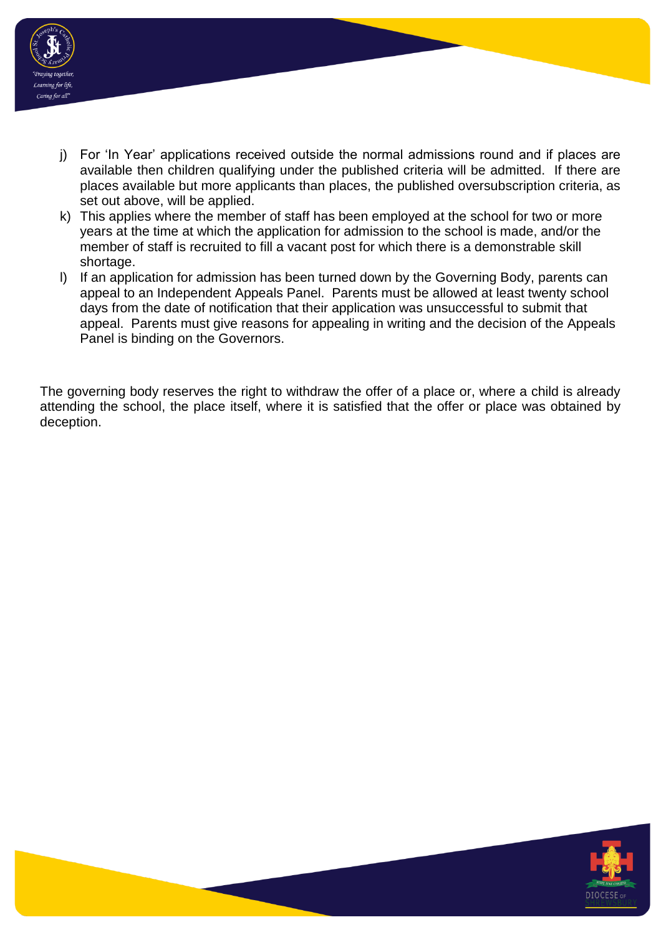

- j) For 'In Year' applications received outside the normal admissions round and if places are available then children qualifying under the published criteria will be admitted. If there are places available but more applicants than places, the published oversubscription criteria, as set out above, will be applied.
- k) This applies where the member of staff has been employed at the school for two or more years at the time at which the application for admission to the school is made, and/or the member of staff is recruited to fill a vacant post for which there is a demonstrable skill shortage.
- l) If an application for admission has been turned down by the Governing Body, parents can appeal to an Independent Appeals Panel. Parents must be allowed at least twenty school days from the date of notification that their application was unsuccessful to submit that appeal. Parents must give reasons for appealing in writing and the decision of the Appeals Panel is binding on the Governors.

The governing body reserves the right to withdraw the offer of a place or, where a child is already attending the school, the place itself, where it is satisfied that the offer or place was obtained by deception.